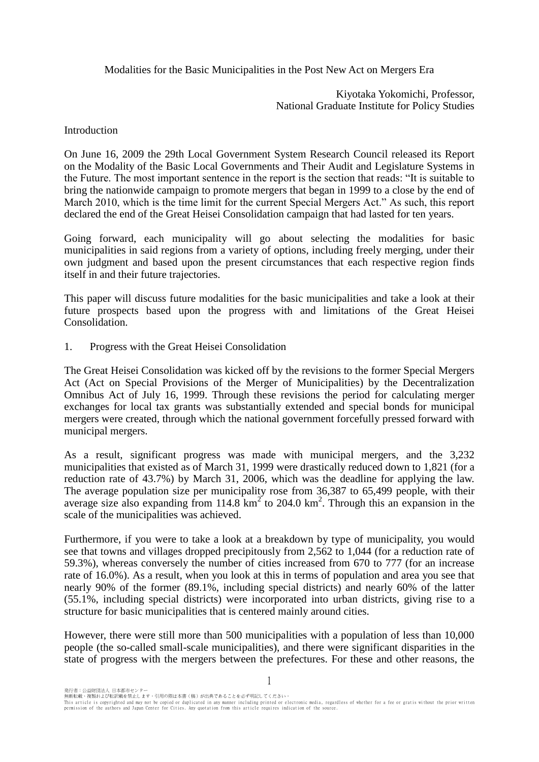Modalities for the Basic Municipalities in the Post New Act on Mergers Era

Kiyotaka Yokomichi, Professor, National Graduate Institute for Policy Studies

Introduction

On June 16, 2009 the 29th Local Government System Research Council released its Report on the Modality of the Basic Local Governments and Their Audit and Legislature Systems in the Future. The most important sentence in the report is the section that reads: "It is suitable to bring the nationwide campaign to promote mergers that began in 1999 to a close by the end of March 2010, which is the time limit for the current Special Mergers Act." As such, this report declared the end of the Great Heisei Consolidation campaign that had lasted for ten years.

Going forward, each municipality will go about selecting the modalities for basic municipalities in said regions from a variety of options, including freely merging, under their own judgment and based upon the present circumstances that each respective region finds itself in and their future trajectories.

This paper will discuss future modalities for the basic municipalities and take a look at their future prospects based upon the progress with and limitations of the Great Heisei Consolidation.

1. Progress with the Great Heisei Consolidation

The Great Heisei Consolidation was kicked off by the revisions to the former Special Mergers Act (Act on Special Provisions of the Merger of Municipalities) by the Decentralization Omnibus Act of July 16, 1999. Through these revisions the period for calculating merger exchanges for local tax grants was substantially extended and special bonds for municipal mergers were created, through which the national government forcefully pressed forward with municipal mergers.

As a result, significant progress was made with municipal mergers, and the 3,232 municipalities that existed as of March 31, 1999 were drastically reduced down to 1,821 (for a reduction rate of 43.7%) by March 31, 2006, which was the deadline for applying the law. The average population size per municipality rose from 36,387 to 65,499 people, with their average size also expanding from  $114.8 \text{ km}^2$  to  $204.0 \text{ km}^2$ . Through this an expansion in the scale of the municipalities was achieved.

Furthermore, if you were to take a look at a breakdown by type of municipality, you would see that towns and villages dropped precipitously from 2,562 to 1,044 (for a reduction rate of 59.3%), whereas conversely the number of cities increased from 670 to 777 (for an increase rate of 16.0%). As a result, when you look at this in terms of population and area you see that nearly 90% of the former (89.1%, including special districts) and nearly 60% of the latter (55.1%, including special districts) were incorporated into urban districts, giving rise to a structure for basic municipalities that is centered mainly around cities.

However, there were still more than 500 municipalities with a population of less than 10,000 people (the so-called small-scale municipalities), and there were significant disparities in the state of progress with the mergers between the prefectures. For these and other reasons, the

発行者:公益財団法人 日本都市センター

1

無断転載、複製および転訳載を禁止します。引用の際は本書(稿)が出典であることを必ず明記してください。 This article is copyrighted and may not be copied or duplicated in any manner including printed or electronic media, regardless of whether for a fee or gratis without the prior written<br>permission of the authors and Japan C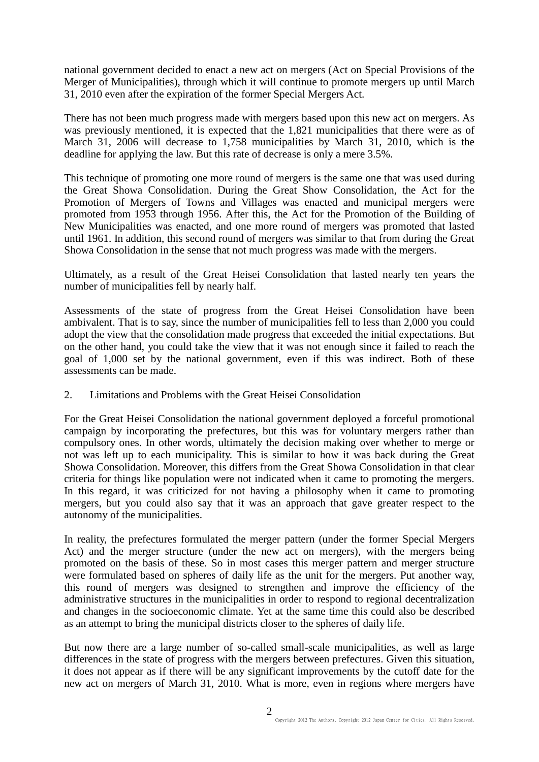national government decided to enact a new act on mergers (Act on Special Provisions of the Merger of Municipalities), through which it will continue to promote mergers up until March 31, 2010 even after the expiration of the former Special Mergers Act.

There has not been much progress made with mergers based upon this new act on mergers. As was previously mentioned, it is expected that the 1,821 municipalities that there were as of March 31, 2006 will decrease to 1,758 municipalities by March 31, 2010, which is the deadline for applying the law. But this rate of decrease is only a mere 3.5%.

This technique of promoting one more round of mergers is the same one that was used during the Great Showa Consolidation. During the Great Show Consolidation, the Act for the Promotion of Mergers of Towns and Villages was enacted and municipal mergers were promoted from 1953 through 1956. After this, the Act for the Promotion of the Building of New Municipalities was enacted, and one more round of mergers was promoted that lasted until 1961. In addition, this second round of mergers was similar to that from during the Great Showa Consolidation in the sense that not much progress was made with the mergers.

Ultimately, as a result of the Great Heisei Consolidation that lasted nearly ten years the number of municipalities fell by nearly half.

Assessments of the state of progress from the Great Heisei Consolidation have been ambivalent. That is to say, since the number of municipalities fell to less than 2,000 you could adopt the view that the consolidation made progress that exceeded the initial expectations. But on the other hand, you could take the view that it was not enough since it failed to reach the goal of 1,000 set by the national government, even if this was indirect. Both of these assessments can be made.

## 2. Limitations and Problems with the Great Heisei Consolidation

For the Great Heisei Consolidation the national government deployed a forceful promotional campaign by incorporating the prefectures, but this was for voluntary mergers rather than compulsory ones. In other words, ultimately the decision making over whether to merge or not was left up to each municipality. This is similar to how it was back during the Great Showa Consolidation. Moreover, this differs from the Great Showa Consolidation in that clear criteria for things like population were not indicated when it came to promoting the mergers. In this regard, it was criticized for not having a philosophy when it came to promoting mergers, but you could also say that it was an approach that gave greater respect to the autonomy of the municipalities.

In reality, the prefectures formulated the merger pattern (under the former Special Mergers Act) and the merger structure (under the new act on mergers), with the mergers being promoted on the basis of these. So in most cases this merger pattern and merger structure were formulated based on spheres of daily life as the unit for the mergers. Put another way, this round of mergers was designed to strengthen and improve the efficiency of the administrative structures in the municipalities in order to respond to regional decentralization and changes in the socioeconomic climate. Yet at the same time this could also be described as an attempt to bring the municipal districts closer to the spheres of daily life.

But now there are a large number of so-called small-scale municipalities, as well as large differences in the state of progress with the mergers between prefectures. Given this situation, it does not appear as if there will be any significant improvements by the cutoff date for the new act on mergers of March 31, 2010. What is more, even in regions where mergers have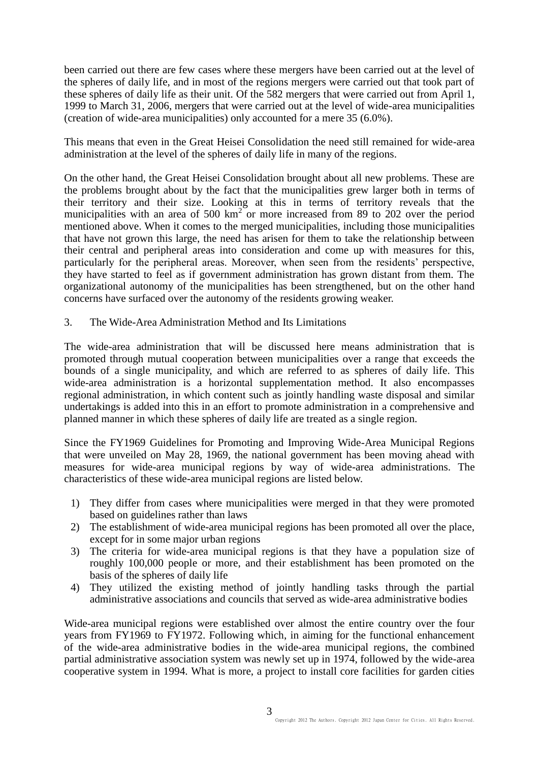been carried out there are few cases where these mergers have been carried out at the level of the spheres of daily life, and in most of the regions mergers were carried out that took part of these spheres of daily life as their unit. Of the 582 mergers that were carried out from April 1, 1999 to March 31, 2006, mergers that were carried out at the level of wide-area municipalities (creation of wide-area municipalities) only accounted for a mere 35 (6.0%).

This means that even in the Great Heisei Consolidation the need still remained for wide-area administration at the level of the spheres of daily life in many of the regions.

On the other hand, the Great Heisei Consolidation brought about all new problems. These are the problems brought about by the fact that the municipalities grew larger both in terms of their territory and their size. Looking at this in terms of territory reveals that the municipalities with an area of 500  $km^2$  or more increased from 89 to 202 over the period mentioned above. When it comes to the merged municipalities, including those municipalities that have not grown this large, the need has arisen for them to take the relationship between their central and peripheral areas into consideration and come up with measures for this, particularly for the peripheral areas. Moreover, when seen from the residents' perspective, they have started to feel as if government administration has grown distant from them. The organizational autonomy of the municipalities has been strengthened, but on the other hand concerns have surfaced over the autonomy of the residents growing weaker.

3. The Wide-Area Administration Method and Its Limitations

The wide-area administration that will be discussed here means administration that is promoted through mutual cooperation between municipalities over a range that exceeds the bounds of a single municipality, and which are referred to as spheres of daily life. This wide-area administration is a horizontal supplementation method. It also encompasses regional administration, in which content such as jointly handling waste disposal and similar undertakings is added into this in an effort to promote administration in a comprehensive and planned manner in which these spheres of daily life are treated as a single region.

Since the FY1969 Guidelines for Promoting and Improving Wide-Area Municipal Regions that were unveiled on May 28, 1969, the national government has been moving ahead with measures for wide-area municipal regions by way of wide-area administrations. The characteristics of these wide-area municipal regions are listed below.

- 1) They differ from cases where municipalities were merged in that they were promoted based on guidelines rather than laws
- 2) The establishment of wide-area municipal regions has been promoted all over the place, except for in some major urban regions
- 3) The criteria for wide-area municipal regions is that they have a population size of roughly 100,000 people or more, and their establishment has been promoted on the basis of the spheres of daily life
- 4) They utilized the existing method of jointly handling tasks through the partial administrative associations and councils that served as wide-area administrative bodies

Wide-area municipal regions were established over almost the entire country over the four years from FY1969 to FY1972. Following which, in aiming for the functional enhancement of the wide-area administrative bodies in the wide-area municipal regions, the combined partial administrative association system was newly set up in 1974, followed by the wide-area cooperative system in 1994. What is more, a project to install core facilities for garden cities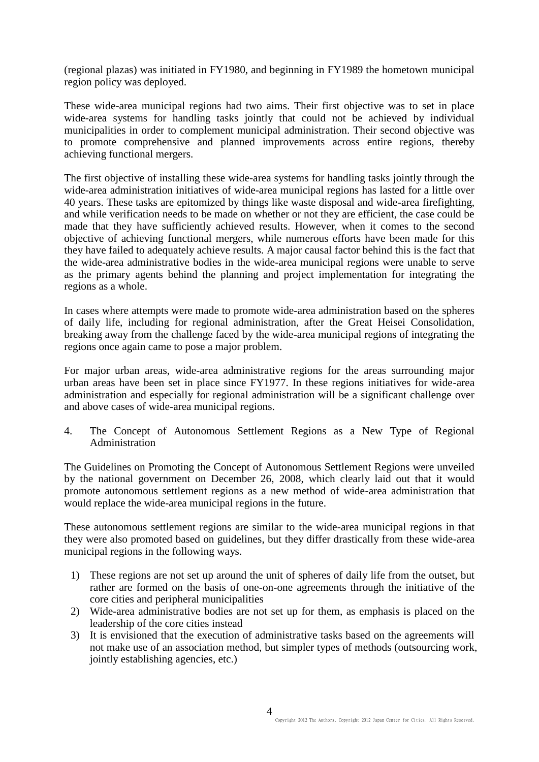(regional plazas) was initiated in FY1980, and beginning in FY1989 the hometown municipal region policy was deployed.

These wide-area municipal regions had two aims. Their first objective was to set in place wide-area systems for handling tasks jointly that could not be achieved by individual municipalities in order to complement municipal administration. Their second objective was to promote comprehensive and planned improvements across entire regions, thereby achieving functional mergers.

The first objective of installing these wide-area systems for handling tasks jointly through the wide-area administration initiatives of wide-area municipal regions has lasted for a little over 40 years. These tasks are epitomized by things like waste disposal and wide-area firefighting, and while verification needs to be made on whether or not they are efficient, the case could be made that they have sufficiently achieved results. However, when it comes to the second objective of achieving functional mergers, while numerous efforts have been made for this they have failed to adequately achieve results. A major causal factor behind this is the fact that the wide-area administrative bodies in the wide-area municipal regions were unable to serve as the primary agents behind the planning and project implementation for integrating the regions as a whole.

In cases where attempts were made to promote wide-area administration based on the spheres of daily life, including for regional administration, after the Great Heisei Consolidation, breaking away from the challenge faced by the wide-area municipal regions of integrating the regions once again came to pose a major problem.

For major urban areas, wide-area administrative regions for the areas surrounding major urban areas have been set in place since FY1977. In these regions initiatives for wide-area administration and especially for regional administration will be a significant challenge over and above cases of wide-area municipal regions.

4. The Concept of Autonomous Settlement Regions as a New Type of Regional Administration

The Guidelines on Promoting the Concept of Autonomous Settlement Regions were unveiled by the national government on December 26, 2008, which clearly laid out that it would promote autonomous settlement regions as a new method of wide-area administration that would replace the wide-area municipal regions in the future.

These autonomous settlement regions are similar to the wide-area municipal regions in that they were also promoted based on guidelines, but they differ drastically from these wide-area municipal regions in the following ways.

- 1) These regions are not set up around the unit of spheres of daily life from the outset, but rather are formed on the basis of one-on-one agreements through the initiative of the core cities and peripheral municipalities
- 2) Wide-area administrative bodies are not set up for them, as emphasis is placed on the leadership of the core cities instead
- 3) It is envisioned that the execution of administrative tasks based on the agreements will not make use of an association method, but simpler types of methods (outsourcing work, jointly establishing agencies, etc.)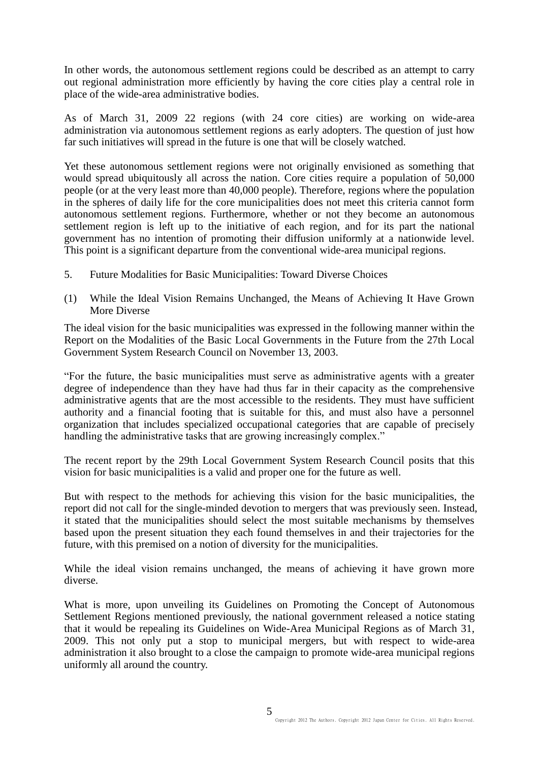In other words, the autonomous settlement regions could be described as an attempt to carry out regional administration more efficiently by having the core cities play a central role in place of the wide-area administrative bodies.

As of March 31, 2009 22 regions (with 24 core cities) are working on wide-area administration via autonomous settlement regions as early adopters. The question of just how far such initiatives will spread in the future is one that will be closely watched.

Yet these autonomous settlement regions were not originally envisioned as something that would spread ubiquitously all across the nation. Core cities require a population of 50,000 people (or at the very least more than 40,000 people). Therefore, regions where the population in the spheres of daily life for the core municipalities does not meet this criteria cannot form autonomous settlement regions. Furthermore, whether or not they become an autonomous settlement region is left up to the initiative of each region, and for its part the national government has no intention of promoting their diffusion uniformly at a nationwide level. This point is a significant departure from the conventional wide-area municipal regions.

- 5. Future Modalities for Basic Municipalities: Toward Diverse Choices
- (1) While the Ideal Vision Remains Unchanged, the Means of Achieving It Have Grown More Diverse

The ideal vision for the basic municipalities was expressed in the following manner within the Report on the Modalities of the Basic Local Governments in the Future from the 27th Local Government System Research Council on November 13, 2003.

"For the future, the basic municipalities must serve as administrative agents with a greater degree of independence than they have had thus far in their capacity as the comprehensive administrative agents that are the most accessible to the residents. They must have sufficient authority and a financial footing that is suitable for this, and must also have a personnel organization that includes specialized occupational categories that are capable of precisely handling the administrative tasks that are growing increasingly complex."

The recent report by the 29th Local Government System Research Council posits that this vision for basic municipalities is a valid and proper one for the future as well.

But with respect to the methods for achieving this vision for the basic municipalities, the report did not call for the single-minded devotion to mergers that was previously seen. Instead, it stated that the municipalities should select the most suitable mechanisms by themselves based upon the present situation they each found themselves in and their trajectories for the future, with this premised on a notion of diversity for the municipalities.

While the ideal vision remains unchanged, the means of achieving it have grown more diverse.

What is more, upon unveiling its Guidelines on Promoting the Concept of Autonomous Settlement Regions mentioned previously, the national government released a notice stating that it would be repealing its Guidelines on Wide-Area Municipal Regions as of March 31, 2009. This not only put a stop to municipal mergers, but with respect to wide-area administration it also brought to a close the campaign to promote wide-area municipal regions uniformly all around the country.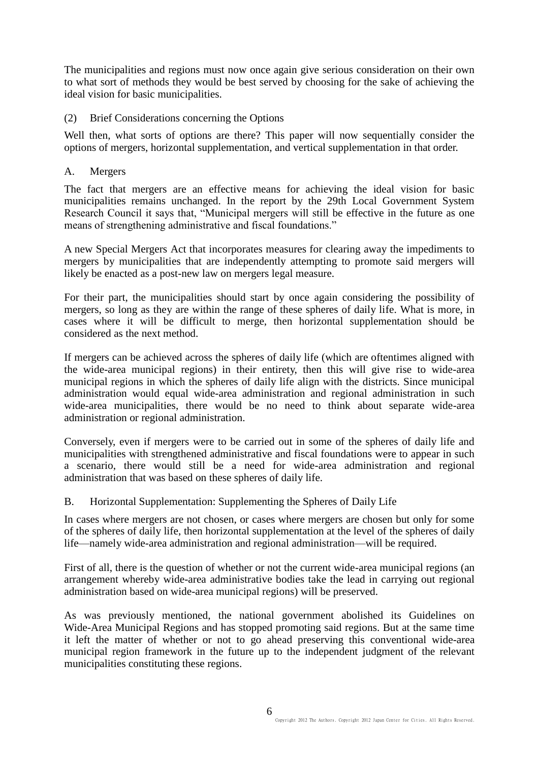The municipalities and regions must now once again give serious consideration on their own to what sort of methods they would be best served by choosing for the sake of achieving the ideal vision for basic municipalities.

## (2) Brief Considerations concerning the Options

Well then, what sorts of options are there? This paper will now sequentially consider the options of mergers, horizontal supplementation, and vertical supplementation in that order.

## A. Mergers

The fact that mergers are an effective means for achieving the ideal vision for basic municipalities remains unchanged. In the report by the 29th Local Government System Research Council it says that, "Municipal mergers will still be effective in the future as one means of strengthening administrative and fiscal foundations."

A new Special Mergers Act that incorporates measures for clearing away the impediments to mergers by municipalities that are independently attempting to promote said mergers will likely be enacted as a post-new law on mergers legal measure.

For their part, the municipalities should start by once again considering the possibility of mergers, so long as they are within the range of these spheres of daily life. What is more, in cases where it will be difficult to merge, then horizontal supplementation should be considered as the next method.

If mergers can be achieved across the spheres of daily life (which are oftentimes aligned with the wide-area municipal regions) in their entirety, then this will give rise to wide-area municipal regions in which the spheres of daily life align with the districts. Since municipal administration would equal wide-area administration and regional administration in such wide-area municipalities, there would be no need to think about separate wide-area administration or regional administration.

Conversely, even if mergers were to be carried out in some of the spheres of daily life and municipalities with strengthened administrative and fiscal foundations were to appear in such a scenario, there would still be a need for wide-area administration and regional administration that was based on these spheres of daily life.

B. Horizontal Supplementation: Supplementing the Spheres of Daily Life

In cases where mergers are not chosen, or cases where mergers are chosen but only for some of the spheres of daily life, then horizontal supplementation at the level of the spheres of daily life—namely wide-area administration and regional administration—will be required.

First of all, there is the question of whether or not the current wide-area municipal regions (an arrangement whereby wide-area administrative bodies take the lead in carrying out regional administration based on wide-area municipal regions) will be preserved.

As was previously mentioned, the national government abolished its Guidelines on Wide-Area Municipal Regions and has stopped promoting said regions. But at the same time it left the matter of whether or not to go ahead preserving this conventional wide-area municipal region framework in the future up to the independent judgment of the relevant municipalities constituting these regions.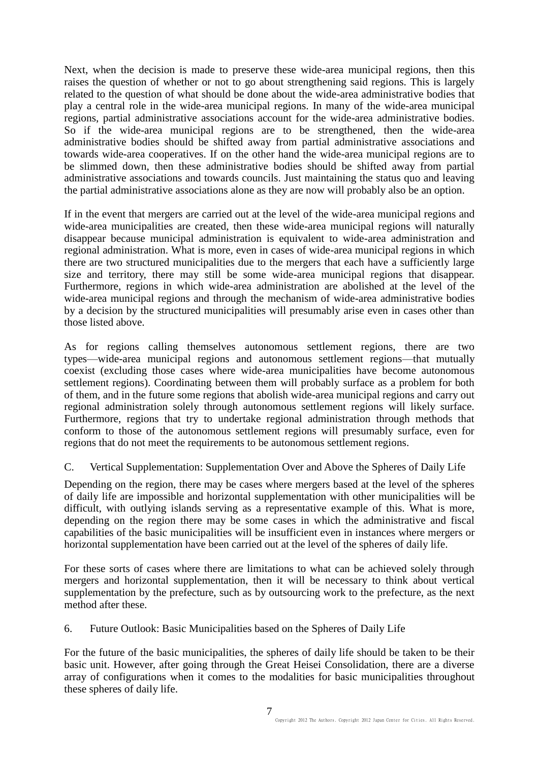Next, when the decision is made to preserve these wide-area municipal regions, then this raises the question of whether or not to go about strengthening said regions. This is largely related to the question of what should be done about the wide-area administrative bodies that play a central role in the wide-area municipal regions. In many of the wide-area municipal regions, partial administrative associations account for the wide-area administrative bodies. So if the wide-area municipal regions are to be strengthened, then the wide-area administrative bodies should be shifted away from partial administrative associations and towards wide-area cooperatives. If on the other hand the wide-area municipal regions are to be slimmed down, then these administrative bodies should be shifted away from partial administrative associations and towards councils. Just maintaining the status quo and leaving the partial administrative associations alone as they are now will probably also be an option.

If in the event that mergers are carried out at the level of the wide-area municipal regions and wide-area municipalities are created, then these wide-area municipal regions will naturally disappear because municipal administration is equivalent to wide-area administration and regional administration. What is more, even in cases of wide-area municipal regions in which there are two structured municipalities due to the mergers that each have a sufficiently large size and territory, there may still be some wide-area municipal regions that disappear. Furthermore, regions in which wide-area administration are abolished at the level of the wide-area municipal regions and through the mechanism of wide-area administrative bodies by a decision by the structured municipalities will presumably arise even in cases other than those listed above.

As for regions calling themselves autonomous settlement regions, there are two types—wide-area municipal regions and autonomous settlement regions—that mutually coexist (excluding those cases where wide-area municipalities have become autonomous settlement regions). Coordinating between them will probably surface as a problem for both of them, and in the future some regions that abolish wide-area municipal regions and carry out regional administration solely through autonomous settlement regions will likely surface. Furthermore, regions that try to undertake regional administration through methods that conform to those of the autonomous settlement regions will presumably surface, even for regions that do not meet the requirements to be autonomous settlement regions.

C. Vertical Supplementation: Supplementation Over and Above the Spheres of Daily Life

Depending on the region, there may be cases where mergers based at the level of the spheres of daily life are impossible and horizontal supplementation with other municipalities will be difficult, with outlying islands serving as a representative example of this. What is more, depending on the region there may be some cases in which the administrative and fiscal capabilities of the basic municipalities will be insufficient even in instances where mergers or horizontal supplementation have been carried out at the level of the spheres of daily life.

For these sorts of cases where there are limitations to what can be achieved solely through mergers and horizontal supplementation, then it will be necessary to think about vertical supplementation by the prefecture, such as by outsourcing work to the prefecture, as the next method after these.

6. Future Outlook: Basic Municipalities based on the Spheres of Daily Life

For the future of the basic municipalities, the spheres of daily life should be taken to be their basic unit. However, after going through the Great Heisei Consolidation, there are a diverse array of configurations when it comes to the modalities for basic municipalities throughout these spheres of daily life.